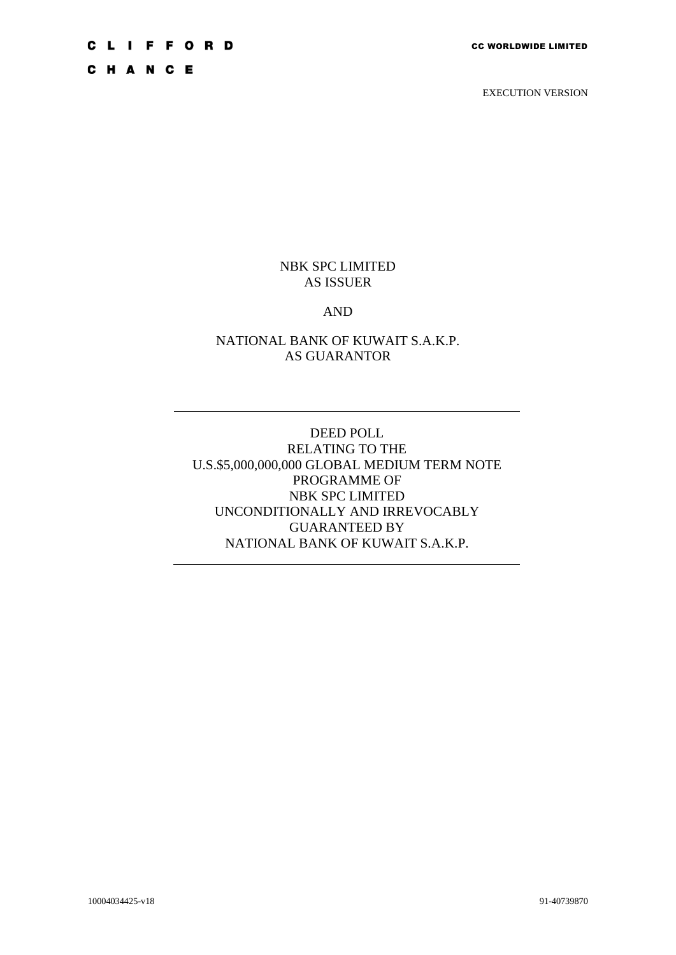C H A N C E

EXECUTION VERSION

# NBK SPC LIMITED AS ISSUER

#### AND

## NATIONAL BANK OF KUWAIT S.A.K.P. AS GUARANTOR

DEED POLL RELATING TO THE U.S.\$5,000,000,000 GLOBAL MEDIUM TERM NOTE PROGRAMME OF NBK SPC LIMITED UNCONDITIONALLY AND IRREVOCABLY GUARANTEED BY NATIONAL BANK OF KUWAIT S.A.K.P.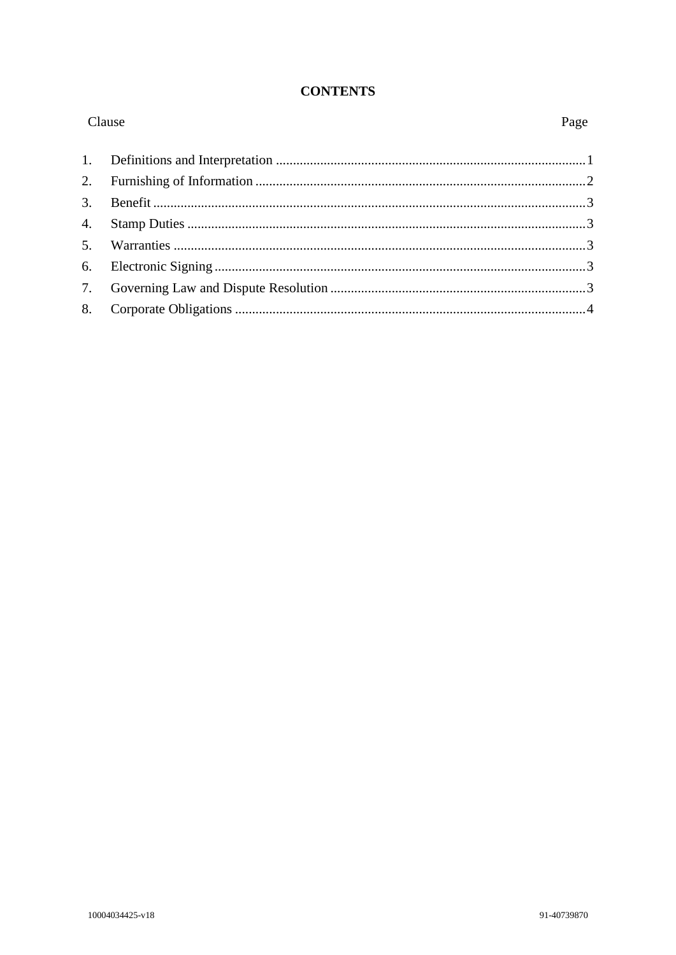#### **CONTENTS**

| Clause |  | Page |
|--------|--|------|
|        |  |      |
|        |  |      |
|        |  |      |
|        |  |      |
|        |  |      |
|        |  |      |
|        |  |      |
|        |  |      |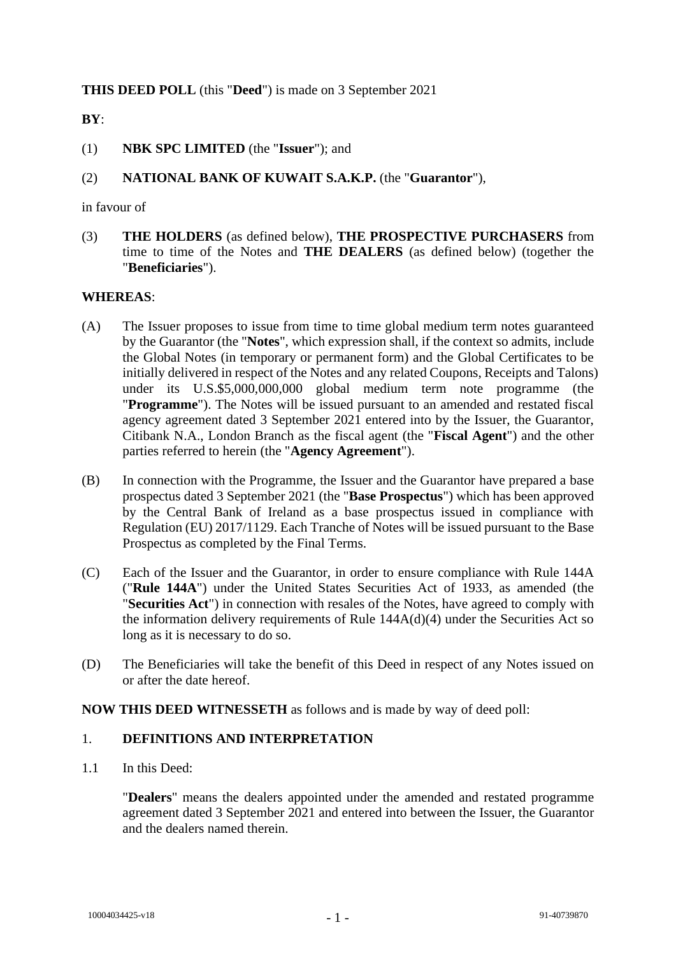## **THIS DEED POLL** (this "**Deed**") is made on 3 September 2021

# **BY**:

- (1) **NBK SPC LIMITED** (the "**Issuer**"); and
- (2) **NATIONAL BANK OF KUWAIT S.A.K.P.** (the "**Guarantor**"),

in favour of

(3) **THE HOLDERS** (as defined below), **THE PROSPECTIVE PURCHASERS** from time to time of the Notes and **THE DEALERS** (as defined below) (together the "**Beneficiaries**").

#### **WHEREAS**:

- (A) The Issuer proposes to issue from time to time global medium term notes guaranteed by the Guarantor (the "**Notes**", which expression shall, if the context so admits, include the Global Notes (in temporary or permanent form) and the Global Certificates to be initially delivered in respect of the Notes and any related Coupons, Receipts and Talons) under its U.S.\$5,000,000,000 global medium term note programme (the "**Programme**"). The Notes will be issued pursuant to an amended and restated fiscal agency agreement dated 3 September 2021 entered into by the Issuer, the Guarantor, Citibank N.A., London Branch as the fiscal agent (the "**Fiscal Agent**") and the other parties referred to herein (the "**Agency Agreement**").
- (B) In connection with the Programme, the Issuer and the Guarantor have prepared a base prospectus dated 3 September 2021 (the "**Base Prospectus**") which has been approved by the Central Bank of Ireland as a base prospectus issued in compliance with Regulation (EU) 2017/1129. Each Tranche of Notes will be issued pursuant to the Base Prospectus as completed by the Final Terms.
- (C) Each of the Issuer and the Guarantor, in order to ensure compliance with Rule 144A ("**Rule 144A**") under the United States Securities Act of 1933, as amended (the "**Securities Act**") in connection with resales of the Notes, have agreed to comply with the information delivery requirements of Rule 144A(d)(4) under the Securities Act so long as it is necessary to do so.
- (D) The Beneficiaries will take the benefit of this Deed in respect of any Notes issued on or after the date hereof.

#### **NOW THIS DEED WITNESSETH** as follows and is made by way of deed poll:

#### 1. **DEFINITIONS AND INTERPRETATION**

1.1 In this Deed:

"**Dealers**" means the dealers appointed under the amended and restated programme agreement dated 3 September 2021 and entered into between the Issuer, the Guarantor and the dealers named therein.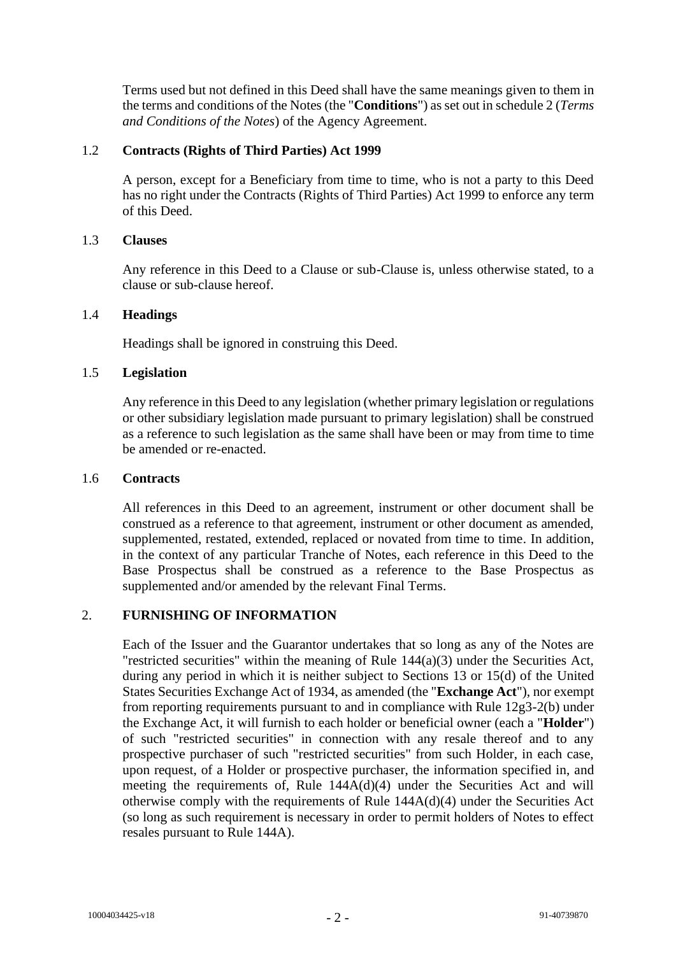Terms used but not defined in this Deed shall have the same meanings given to them in the terms and conditions of the Notes (the "**Conditions**") as set out in schedule 2 (*Terms and Conditions of the Notes*) of the Agency Agreement.

#### 1.2 **Contracts (Rights of Third Parties) Act 1999**

A person, except for a Beneficiary from time to time, who is not a party to this Deed has no right under the Contracts (Rights of Third Parties) Act 1999 to enforce any term of this Deed.

#### 1.3 **Clauses**

Any reference in this Deed to a Clause or sub-Clause is, unless otherwise stated, to a clause or sub-clause hereof.

#### 1.4 **Headings**

Headings shall be ignored in construing this Deed.

## 1.5 **Legislation**

Any reference in this Deed to any legislation (whether primary legislation or regulations or other subsidiary legislation made pursuant to primary legislation) shall be construed as a reference to such legislation as the same shall have been or may from time to time be amended or re-enacted.

#### 1.6 **Contracts**

All references in this Deed to an agreement, instrument or other document shall be construed as a reference to that agreement, instrument or other document as amended, supplemented, restated, extended, replaced or novated from time to time. In addition, in the context of any particular Tranche of Notes, each reference in this Deed to the Base Prospectus shall be construed as a reference to the Base Prospectus as supplemented and/or amended by the relevant Final Terms.

# 2. **FURNISHING OF INFORMATION**

Each of the Issuer and the Guarantor undertakes that so long as any of the Notes are "restricted securities" within the meaning of Rule 144(a)(3) under the Securities Act, during any period in which it is neither subject to Sections 13 or 15(d) of the United States Securities Exchange Act of 1934, as amended (the "**Exchange Act**"), nor exempt from reporting requirements pursuant to and in compliance with Rule 12g3-2(b) under the Exchange Act, it will furnish to each holder or beneficial owner (each a "**Holder**") of such "restricted securities" in connection with any resale thereof and to any prospective purchaser of such "restricted securities" from such Holder, in each case, upon request, of a Holder or prospective purchaser, the information specified in, and meeting the requirements of, Rule 144A(d)(4) under the Securities Act and will otherwise comply with the requirements of Rule 144A(d)(4) under the Securities Act (so long as such requirement is necessary in order to permit holders of Notes to effect resales pursuant to Rule 144A).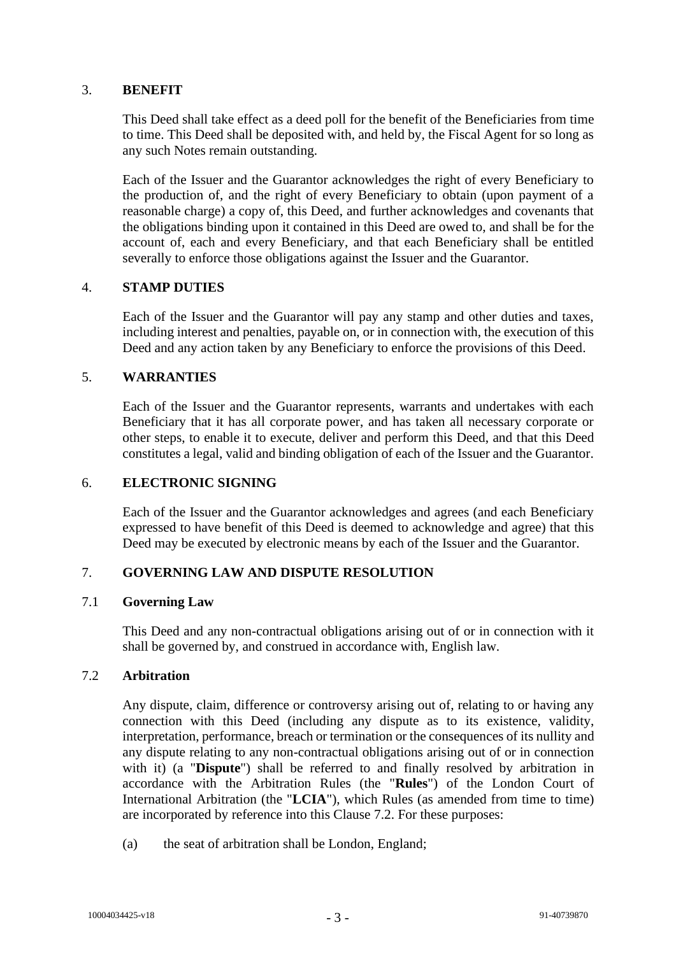## 3. **BENEFIT**

This Deed shall take effect as a deed poll for the benefit of the Beneficiaries from time to time. This Deed shall be deposited with, and held by, the Fiscal Agent for so long as any such Notes remain outstanding.

Each of the Issuer and the Guarantor acknowledges the right of every Beneficiary to the production of, and the right of every Beneficiary to obtain (upon payment of a reasonable charge) a copy of, this Deed, and further acknowledges and covenants that the obligations binding upon it contained in this Deed are owed to, and shall be for the account of, each and every Beneficiary, and that each Beneficiary shall be entitled severally to enforce those obligations against the Issuer and the Guarantor.

## 4. **STAMP DUTIES**

Each of the Issuer and the Guarantor will pay any stamp and other duties and taxes, including interest and penalties, payable on, or in connection with, the execution of this Deed and any action taken by any Beneficiary to enforce the provisions of this Deed.

## 5. **WARRANTIES**

Each of the Issuer and the Guarantor represents, warrants and undertakes with each Beneficiary that it has all corporate power, and has taken all necessary corporate or other steps, to enable it to execute, deliver and perform this Deed, and that this Deed constitutes a legal, valid and binding obligation of each of the Issuer and the Guarantor.

#### 6. **ELECTRONIC SIGNING**

Each of the Issuer and the Guarantor acknowledges and agrees (and each Beneficiary expressed to have benefit of this Deed is deemed to acknowledge and agree) that this Deed may be executed by electronic means by each of the Issuer and the Guarantor.

# 7. **GOVERNING LAW AND DISPUTE RESOLUTION**

#### 7.1 **Governing Law**

This Deed and any non-contractual obligations arising out of or in connection with it shall be governed by, and construed in accordance with, English law.

#### <span id="page-4-0"></span>7.2 **Arbitration**

Any dispute, claim, difference or controversy arising out of, relating to or having any connection with this Deed (including any dispute as to its existence, validity, interpretation, performance, breach or termination or the consequences of its nullity and any dispute relating to any non-contractual obligations arising out of or in connection with it) (a "**Dispute**") shall be referred to and finally resolved by arbitration in accordance with the Arbitration Rules (the "**Rules**") of the London Court of International Arbitration (the "**LCIA**"), which Rules (as amended from time to time) are incorporated by reference into this Clause [7.2.](#page-4-0) For these purposes:

(a) the seat of arbitration shall be London, England;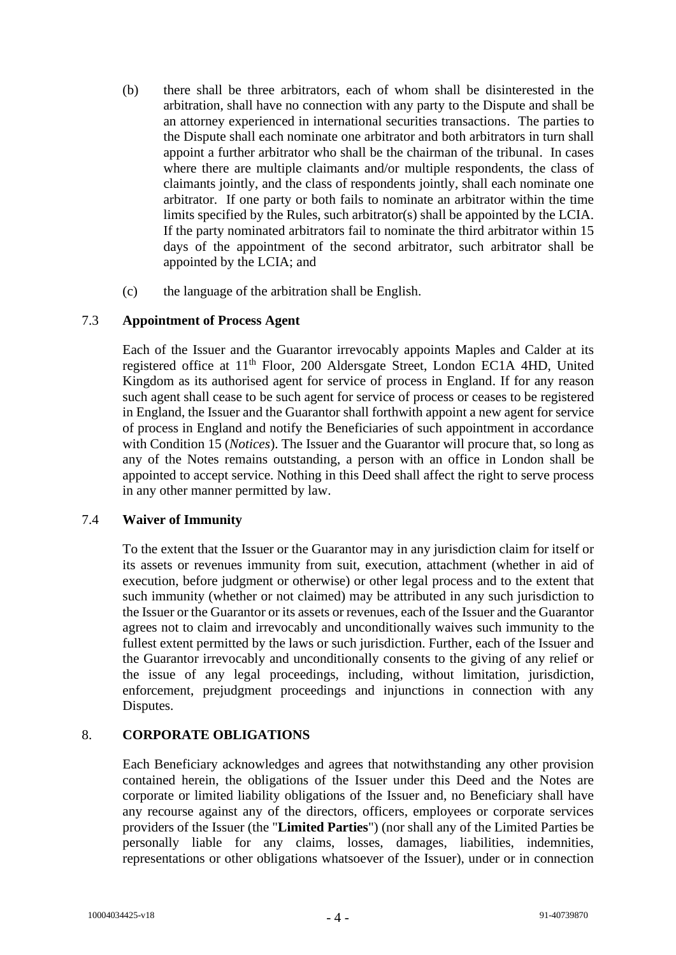- (b) there shall be three arbitrators, each of whom shall be disinterested in the arbitration, shall have no connection with any party to the Dispute and shall be an attorney experienced in international securities transactions. The parties to the Dispute shall each nominate one arbitrator and both arbitrators in turn shall appoint a further arbitrator who shall be the chairman of the tribunal. In cases where there are multiple claimants and/or multiple respondents, the class of claimants jointly, and the class of respondents jointly, shall each nominate one arbitrator. If one party or both fails to nominate an arbitrator within the time limits specified by the Rules, such arbitrator(s) shall be appointed by the LCIA. If the party nominated arbitrators fail to nominate the third arbitrator within 15 days of the appointment of the second arbitrator, such arbitrator shall be appointed by the LCIA; and
- (c) the language of the arbitration shall be English.

## 7.3 **Appointment of Process Agent**

Each of the Issuer and the Guarantor irrevocably appoints Maples and Calder at its registered office at 11th Floor, 200 Aldersgate Street, London EC1A 4HD, United Kingdom as its authorised agent for service of process in England. If for any reason such agent shall cease to be such agent for service of process or ceases to be registered in England, the Issuer and the Guarantor shall forthwith appoint a new agent for service of process in England and notify the Beneficiaries of such appointment in accordance with Condition 15 (*Notices*). The Issuer and the Guarantor will procure that, so long as any of the Notes remains outstanding, a person with an office in London shall be appointed to accept service. Nothing in this Deed shall affect the right to serve process in any other manner permitted by law.

# 7.4 **Waiver of Immunity**

To the extent that the Issuer or the Guarantor may in any jurisdiction claim for itself or its assets or revenues immunity from suit, execution, attachment (whether in aid of execution, before judgment or otherwise) or other legal process and to the extent that such immunity (whether or not claimed) may be attributed in any such jurisdiction to the Issuer or the Guarantor or its assets or revenues, each of the Issuer and the Guarantor agrees not to claim and irrevocably and unconditionally waives such immunity to the fullest extent permitted by the laws or such jurisdiction. Further, each of the Issuer and the Guarantor irrevocably and unconditionally consents to the giving of any relief or the issue of any legal proceedings, including, without limitation, jurisdiction, enforcement, prejudgment proceedings and injunctions in connection with any Disputes.

# 8. **CORPORATE OBLIGATIONS**

Each Beneficiary acknowledges and agrees that notwithstanding any other provision contained herein, the obligations of the Issuer under this Deed and the Notes are corporate or limited liability obligations of the Issuer and, no Beneficiary shall have any recourse against any of the directors, officers, employees or corporate services providers of the Issuer (the "**Limited Parties**") (nor shall any of the Limited Parties be personally liable for any claims, losses, damages, liabilities, indemnities, representations or other obligations whatsoever of the Issuer), under or in connection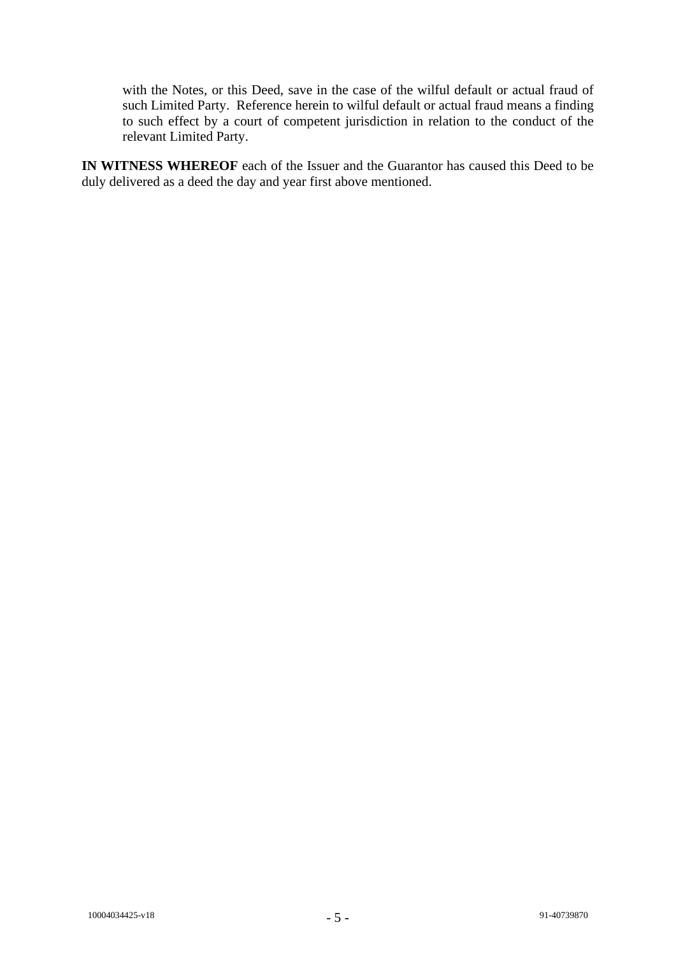with the Notes, or this Deed, save in the case of the wilful default or actual fraud of such Limited Party. Reference herein to wilful default or actual fraud means a finding to such effect by a court of competent jurisdiction in relation to the conduct of the relevant Limited Party.

**IN WITNESS WHEREOF** each of the Issuer and the Guarantor has caused this Deed to be duly delivered as a deed the day and year first above mentioned.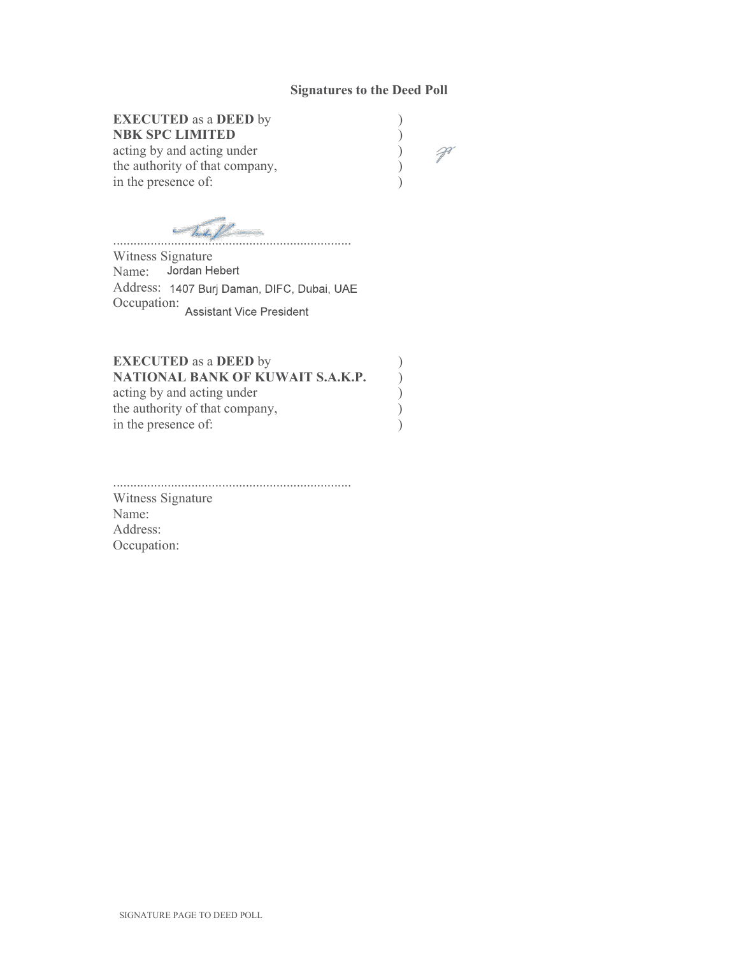#### Signatures to the Deed Poll

# EXECUTED as a DEED by )

NBK SPC LIMITED <br>
acting by and acting under (b)<br>
the authority of that company, (b) acting by and acting under ) the authority of that company, in the presence of:

 $\mathcal{P}$ 

 $\sim$  That  $f$ 

Witness Signature Name: Jordan Hebert Address: 1407 Burj Daman, DIFC, Dubai, UAE Occupation: Assistant Vice President

#### EXECUTED as a DEED by NATIONAL BANK OF KUWAIT S.A.K.P. acting by and acting under )<br>the authority of that company, <br>in the presence of: ) the authority of that company, in the presence of:

......................................................................

Witness Signature Name: Address: Occupation: